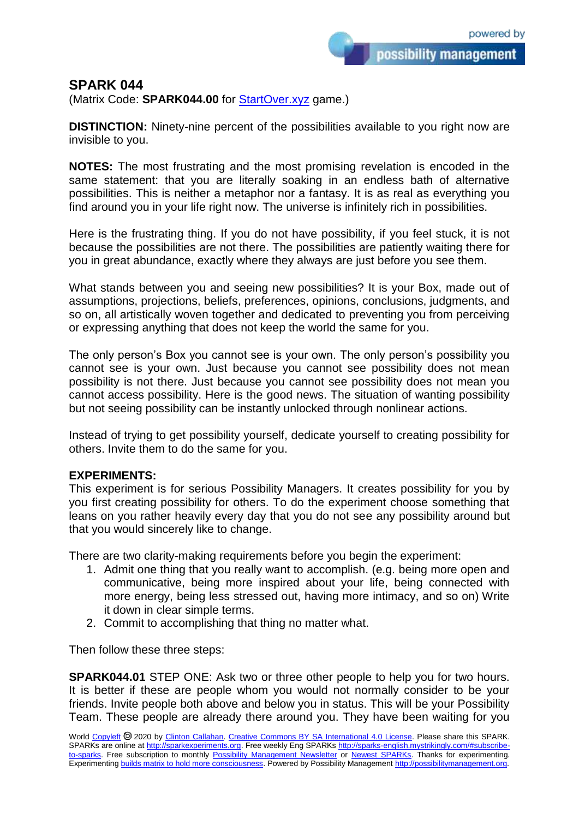possibility management

## **SPARK 044**

(Matrix Code: **SPARK044.00** for [StartOver.xyz](https://startoverxyz.mystrikingly.com/) game.)

**DISTINCTION:** Ninety-nine percent of the possibilities available to you right now are invisible to you.

**NOTES:** The most frustrating and the most promising revelation is encoded in the same statement: that you are literally soaking in an endless bath of alternative possibilities. This is neither a metaphor nor a fantasy. It is as real as everything you find around you in your life right now. The universe is infinitely rich in possibilities.

Here is the frustrating thing. If you do not have possibility, if you feel stuck, it is not because the possibilities are not there. The possibilities are patiently waiting there for you in great abundance, exactly where they always are just before you see them.

What stands between you and seeing new possibilities? It is your Box, made out of assumptions, projections, beliefs, preferences, opinions, conclusions, judgments, and so on, all artistically woven together and dedicated to preventing you from perceiving or expressing anything that does not keep the world the same for you.

The only person's Box you cannot see is your own. The only person's possibility you cannot see is your own. Just because you cannot see possibility does not mean possibility is not there. Just because you cannot see possibility does not mean you cannot access possibility. Here is the good news. The situation of wanting possibility but not seeing possibility can be instantly unlocked through nonlinear actions.

Instead of trying to get possibility yourself, dedicate yourself to creating possibility for others. Invite them to do the same for you.

## **EXPERIMENTS:**

This experiment is for serious Possibility Managers. It creates possibility for you by you first creating possibility for others. To do the experiment choose something that leans on you rather heavily every day that you do not see any possibility around but that you would sincerely like to change.

There are two clarity-making requirements before you begin the experiment:

- 1. Admit one thing that you really want to accomplish. (e.g. being more open and communicative, being more inspired about your life, being connected with more energy, being less stressed out, having more intimacy, and so on) Write it down in clear simple terms.
- 2. Commit to accomplishing that thing no matter what.

Then follow these three steps:

**SPARK044.01** STEP ONE: Ask two or three other people to help you for two hours. It is better if these are people whom you would not normally consider to be your friends. Invite people both above and below you in status. This will be your Possibility Team. These people are already there around you. They have been waiting for you